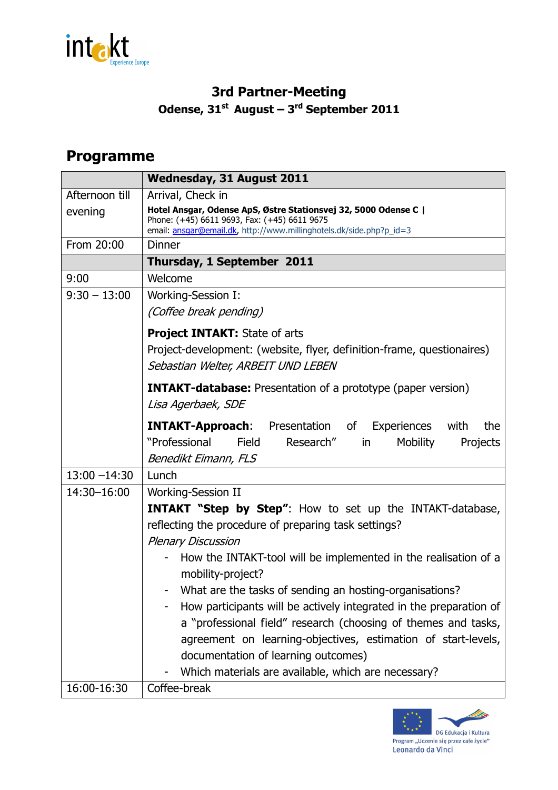

## **3rd Partner-Meeting Odense, 31st August – 3rd September 2011**

## **Programme**

|                 | <b>Wednesday, 31 August 2011</b>                                                                                                                                                       |
|-----------------|----------------------------------------------------------------------------------------------------------------------------------------------------------------------------------------|
| Afternoon till  | Arrival, Check in                                                                                                                                                                      |
| evening         | Hotel Ansgar, Odense ApS, Østre Stationsvej 32, 5000 Odense C  <br>Phone: (+45) 6611 9693, Fax: (+45) 6611 9675<br>email: ansgar@email.dk, http://www.millinghotels.dk/side.php?p_id=3 |
| From 20:00      | <b>Dinner</b>                                                                                                                                                                          |
|                 | Thursday, 1 September 2011                                                                                                                                                             |
| 9:00            | Welcome                                                                                                                                                                                |
| $9:30 - 13:00$  | Working-Session I:                                                                                                                                                                     |
|                 | (Coffee break pending)                                                                                                                                                                 |
|                 | <b>Project INTAKT:</b> State of arts                                                                                                                                                   |
|                 | Project-development: (website, flyer, definition-frame, questionaires)<br>Sebastian Welter, ARBEIT UND LEBEN                                                                           |
|                 | <b>INTAKT-database:</b> Presentation of a prototype (paper version)                                                                                                                    |
|                 | Lisa Agerbaek, SDE                                                                                                                                                                     |
|                 | <b>INTAKT-Approach:</b> Presentation of Experiences<br>the<br>with<br>"Professional<br><b>Field</b><br>Research"<br>Mobility<br>in<br>Projects<br>Benedikt Eimann, FLS                 |
| $13:00 - 14:30$ | Lunch                                                                                                                                                                                  |
| 14:30-16:00     | <b>Working-Session II</b>                                                                                                                                                              |
|                 | <b>INTAKT "Step by Step":</b> How to set up the INTAKT-database,<br>reflecting the procedure of preparing task settings?<br><b>Plenary Discussion</b>                                  |
|                 | How the INTAKT-tool will be implemented in the realisation of a<br>mobility-project?                                                                                                   |
|                 | What are the tasks of sending an hosting-organisations?                                                                                                                                |
|                 | How participants will be actively integrated in the preparation of                                                                                                                     |
|                 | a "professional field" research (choosing of themes and tasks,                                                                                                                         |
|                 | agreement on learning-objectives, estimation of start-levels,                                                                                                                          |
|                 | documentation of learning outcomes)                                                                                                                                                    |
|                 | Which materials are available, which are necessary?                                                                                                                                    |
| 16:00-16:30     | Coffee-break                                                                                                                                                                           |